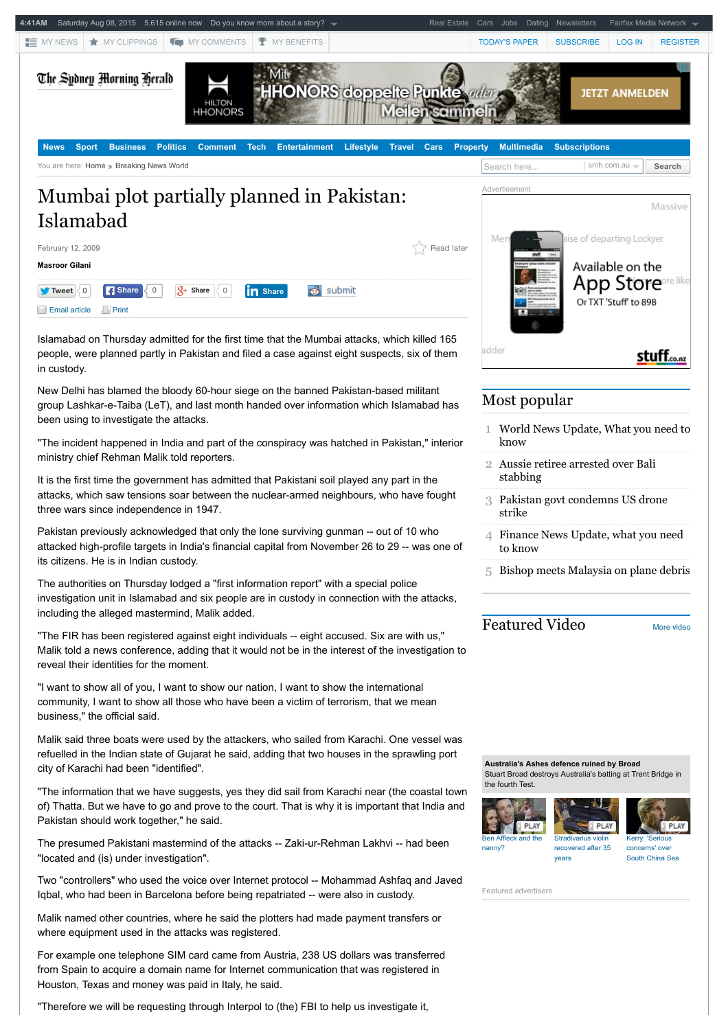

"Therefore we will be requesting through Interpol to (the) FBI to help us investigate it,